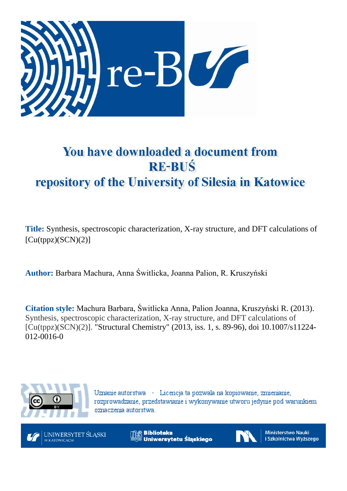

# You have downloaded a document from **RE-BUŚ** repository of the University of Silesia in Katowice

**Title:** Synthesis, spectroscopic characterization, X-ray structure, and DFT calculations of  $[Cu(tppz)(SCN)(2)]$ 

**Author:** Barbara Machura, Anna Świtlicka, Joanna Palion, R. Kruszyński

**Citation style:** Machura Barbara, Świtlicka Anna, Palion Joanna, Kruszyński R. (2013). Synthesis, spectroscopic characterization, X-ray structure, and DFT calculations of [Cu(tppz)(SCN)(2)]. "Structural Chemistry" (2013, iss. 1, s. 89-96), doi 10.1007/s11224- 012-0016-0



Uznanie autorstwa - Licencja ta pozwala na kopiowanie, zmienianie, rozprowadzanie, przedstawianie i wykonywanie utworu jedynie pod warunkiem oznaczenia autorstwa.



**Biblioteka** Uniwersytetu Ślaskiego



Ministerstwo Nauki i Szkolnictwa Wyższego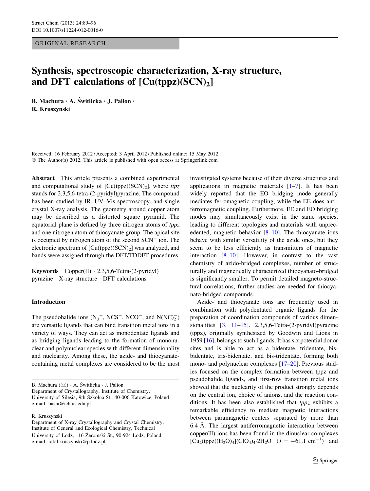# ORIGINAL RESEARCH

# Synthesis, spectroscopic characterization, X-ray structure, and DFT calculations of  $\lceil Cu(tppz)(SCN)_2 \rceil$

B. Machura · A. Świtlicka · J. Palion · R. Kruszynski

Received: 16 February 2012 / Accepted: 3 April 2012 / Published online: 15 May 2012 © The Author(s) 2012. This article is published with open access at Springerlink.com

Abstract This article presents a combined experimental and computational study of  $[Cu(tppz)(SCN)<sub>2</sub>]$ , where ttpz stands for 2,3,5,6-tetra-(2-pyridyl)pyrazine. The compound has been studied by IR, UV–Vis spectroscopy, and single crystal X-ray analysis. The geometry around copper atom may be described as a distorted square pyramid. The equatorial plane is defined by three nitrogen atoms of tppz and one nitrogen atom of thiocyanate group. The apical site is occupied by nitrogen atom of the second  $SCN^-$  ion. The electronic spectrum of  $[Cu(tppz)(SCN)_2]$  was analyzed, and bands were assigned through the DFT/TDDFT procedures.

Keywords Copper(II) - 2,3,5,6-Tetra-(2-pyridyl) pyrazine - X-ray structure - DFT calculations

# Introduction

The pseudohalide ions  $(N_3^-, NCS^-, NCO^-,$  and  $N(NC)_2^$ are versatile ligands that can bind transition metal ions in a variety of ways. They can act as monodentate ligands and as bridging ligands leading to the formation of mononuclear and polynuclear species with different dimensionality and nuclearity. Among these, the azide- and thiocyanatecontaining metal complexes are considered to be the most

B. Machura (⊠) · A. Świtlicka · J. Palion Department of Crystallography, Institute of Chemistry, University of Silesia, 9th Szkolna St., 40-006 Katowice, Poland e-mail: basia@ich.us.edu.pl

#### R. Kruszynski

investigated systems because of their diverse structures and applications in magnetic materials  $[1-7]$ . It has been widely reported that the EO bridging mode generally mediates ferromagnetic coupling, while the EE does antiferromagnetic coupling. Furthermore, EE and EO bridging modes may simultaneously exist in the same species, leading to different topologies and materials with unprecedented, magnetic behavior [\[8–10](#page-7-0)]. The thiocyanate ions behave with similar versatility of the azide ones, but they seem to be less efficiently as transmitters of magnetic interaction  $[8-10]$ . However, in contrast to the vast chemistry of azido-bridged complexes, number of structurally and magnetically characterized thiocyanato-bridged is significantly smaller. To permit detailed magneto-structural correlations, further studies are needed for thiocyanato-bridged compounds.

Azide- and thiocyanate ions are frequently used in combination with polydentated organic ligands for the preparation of coordination compounds of various dimensionalities [[3](#page-7-0), [11–15](#page-7-0)]. 2,3,5,6-Tetra-(2-pyridyl)pyrazine (tppz), originally synthesized by Goodwin and Lions in 1959 [[16\]](#page-7-0), belongs to such ligands. It has six potential donor sites and is able to act as a bidentate, tridentate, bisbidentate, tris-bidentate, and bis-tridentate, forming both mono- and polynuclear complexes [\[17–20](#page-7-0)]. Previous studies focused on the complex formation between tppz and pseudohalide ligands, and first-row transition metal ions showed that the nuclearity of the product strongly depends on the central ion, choice of anions, and the reaction conditions. It has been also established that tppz exhibits a remarkable efficiency to mediate magnetic interactions between paramagnetic centers separated by more than 6.4 Å. The largest antiferromagnetic interaction between copper(II) ions has been found in the dinuclear complexes  $[Cu_2(tppz)(H_2O)_4]$ (ClO<sub>4</sub>)<sub>4</sub>·2H<sub>2</sub>O ( $J = -61.1$  cm<sup>-1</sup>) and

Department of X-ray Crystallography and Crystal Chemistry, Institute of General and Ecological Chemistry, Technical University of Lodz, 116 Zeromski St., 90-924 Lodz, Poland \_ e-mail: rafal.kruszynski@p.lodz.pl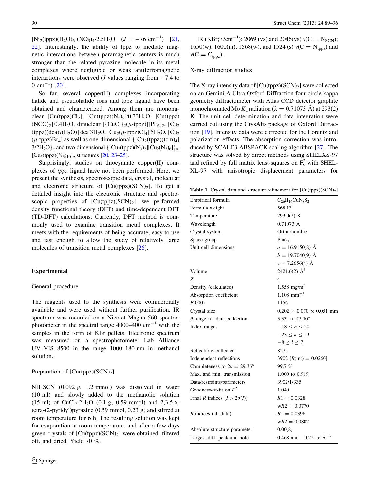<span id="page-2-0"></span> $[Ni_2(tppz)(H_2O)_6](NO_3)_4 \cdot 2.5H_2O$   $(J = -76 \text{ cm}^{-1})$  [[21,](#page-7-0) [22](#page-7-0)]. Interestingly, the ability of tppz to mediate magnetic interactions between paramagnetic centers is much stronger than the related pyrazine molecule in its metal complexes where negligible or weak antiferromagnetic interactions were observed (*J* values ranging from  $-7.4$  to 0 cm<sup>-1</sup>) [[20\]](#page-7-0).

So far, several copper(II) complexes incorporating halide and pseudohalide ions and tppz ligand have been obtained and characterized. Among them are mononuclear [Cu(tppz)Cl<sub>2</sub>], [Cu(tppz)(N<sub>3</sub>)<sub>2</sub>] 0.33H<sub>2</sub>O, [Cu(tppz)  $(NCO)_2$ ] 0.4H<sub>2</sub>O, dinuclear  $[{CuCl}_2(\mu$ -tppz)][PF<sub>6</sub>]<sub>2</sub>, [Cu<sub>2</sub>  $(tppz)(dca)_{3}(H_{2}O)$ ] dca 3H<sub>2</sub>O,  $[Cu_{2}(\mu$ -tppz)Cl<sub>4</sub>] 5H<sub>2</sub>O,  $[Cu_{2}(\mu)$  $(\mu$ -tppz)Br<sub>4</sub>] as well as one-dimensional { $[Cu_2(tppz)(tcm)_4]$  $3/2H_2O$ <sub>n</sub> and two-dimensional  $\{[Cu_2(tppz)(N_3)_2][Cu_2(N_3)_6]\}_n$ ,  $[C_{u5}(tppz)(N_3)_{10}]_n$  structures  $[20, 23-25]$  $[20, 23-25]$  $[20, 23-25]$  $[20, 23-25]$ .

Surprisingly, studies on thiocyanate copper(II) complexes of tppz ligand have not been performed. Here, we present the synthesis, spectroscopic data, crystal, molecular and electronic structure of  $[Cu(tppz)(SCN)_2]$ . To get a detailed insight into the electronic structure and spectroscopic properties of  $[Cu(tppz)(SCN)_2]$ , we performed density functional theory (DFT) and time-dependent DFT (TD-DFT) calculations. Currently, DFT method is commonly used to examine transition metal complexes. It meets with the requirements of being accurate, easy to use and fast enough to allow the study of relatively large molecules of transition metal complexes [[26\]](#page-8-0).

#### Experimental

#### General procedure

The reagents used to the synthesis were commercially available and were used without further purification. IR spectrum was recorded on a Nicolet Magna 560 spectrophotometer in the spectral range 4000–400  $\text{cm}^{-1}$  with the samples in the form of KBr pellets. Electronic spectrum was measured on a spectrophotometer Lab Alliance UV–VIS 8500 in the range 1000–180 nm in methanol solution.

#### Preparation of  $[Cu(tppz)(SCN)<sub>2</sub>]$

NH4SCN (0.092 g, 1.2 mmol) was dissolved in water (10 ml) and slowly added to the methanolic solution  $(15 \text{ ml})$  of CuCl<sub>2</sub>·2H<sub>2</sub>O  $(0.1 \text{ g}; 0.59 \text{ mmol})$  and 2,3,5,6tetra-(2-pyridyl)pyrazine (0.59 mmol, 0.23 g) and stirred at room temperature for 6 h. The resulting solution was kept for evaporation at room temperature, and after a few days green crystals of  $[Cu(tppz)(SCN)<sub>2</sub>]$  were obtained, filtered off, and dried. Yield 70 %.

IR (KBr;  $v/cm^{-1}$ ): 2069 (vs) and 2046(vs)  $v(C = N_{SCN})$ ; 1650(w), 1600(m), 1568(w), and 1524 (s)  $v(C = N_{topz})$  and  $v(C = C_{topz}).$ 

## X-ray diffraction studies

The X-ray intensity data of  $[Cu(tppz)(SCN)_2]$  were collected on an Gemini A Ultra Oxford Diffraction four-circle kappa geometry diffractometer with Atlas CCD detector graphite monochromated Mo  $K_{\alpha}$  radiation ( $\lambda = 0.71073$  Å) at 293(2) K. The unit cell determination and data integration were carried out using the CrysAlis package of Oxford Diffraction [[19\]](#page-7-0). Intensity data were corrected for the Lorentz and polarization effects. The absorption correction was introduced by SCALE3 ABSPACK scaling algorithm [\[27](#page-8-0)]. The structure was solved by direct methods using SHELXS-97 and refined by full matrix least-squares on  $F_0^2$  with SHEL-XL-97 with anisotropic displacement parameters for

Table 1 Crystal data and structure refinement for  $[Cu(tppz)(SCN)<sub>2</sub>]$ 

| Empirical formula                         | $C_{26}H_{16}CuN_8S_2$               |
|-------------------------------------------|--------------------------------------|
| Formula weight                            | 568.13                               |
| Temperature                               | 293.0(2) K                           |
| Wavelength                                | 0.71073 A                            |
| Crystal system                            | Orthorhombic                         |
| Space group                               | Pna2 <sub>1</sub>                    |
| Unit cell dimensions                      | $a = 16.9150(8)$ Å                   |
|                                           | $b = 19.7040(9)$ Å                   |
|                                           | $c = 7.2656(4)$ Å                    |
| Volume                                    | 2421.6(2) $\AA^3$                    |
| Z                                         | $\overline{4}$                       |
| Density (calculated)                      | 1.558 mg/m <sup>3</sup>              |
| Absorption coefficient                    | $1.108$ mm <sup>-1</sup>             |
| F(000)                                    | 1156                                 |
| Crystal size                              | $0.202 \times 0.070 \times 0.051$ mm |
| $\theta$ range for data collection        | 3.33° to 25.10°                      |
| Index ranges                              | $-18 \le h \le 20$                   |
|                                           | $-23 \le k \le 19$                   |
|                                           | $-8 \le l \le 7$                     |
| Reflections collected                     | 8275                                 |
| Independent reflections                   | 3902 $[R(int) = 0.0260]$             |
| Completeness to $2\theta = 29.36^{\circ}$ | 99.7 %                               |
| Max. and min. transmission                | 1.000 to 0.919                       |
| Data/restraints/parameters                | 3902/1/335                           |
| Goodness-of-fit on $F^2$                  | 1.040                                |
| Final R indices $[I > 2\sigma(I)]$        | $R1 = 0.0328$                        |
|                                           | $wR2 = 0.0770$                       |
| $R$ indices (all data)                    | $R1 = 0.0396$                        |
|                                           | $wR2 = 0.0802$                       |
| Absolute structure parameter              | 0.00(8)                              |
| Largest diff. peak and hole               | 0.468 and $-0.221$ e $\AA^{-3}$      |
|                                           |                                      |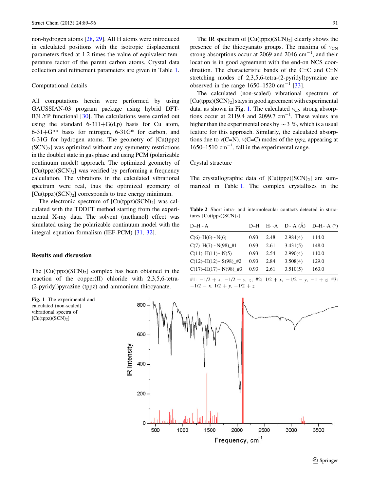<span id="page-3-0"></span>non-hydrogen atoms [\[28](#page-8-0), [29](#page-8-0)]. All H atoms were introduced in calculated positions with the isotropic displacement parameters fixed at 1.2 times the value of equivalent temperature factor of the parent carbon atoms. Crystal data collection and refinement parameters are given in Table [1](#page-2-0).

#### Computational details

All computations herein were performed by using GAUSSIAN-03 program package using hybrid DFT-B3LYP functional [\[30](#page-8-0)]. The calculations were carried out using the standard  $6-311+G(d,p)$  basis for Cu atom,  $6-31+G^{**}$  basis for nitrogen,  $6-31G^{*}$  for carbon, and 6-31G for hydrogen atoms. The geometry of [Cu(tppz)  $(SCN<sub>2</sub>]$  was optimized without any symmetry restrictions in the doublet state in gas phase and using PCM (polarizable continuum model) approach. The optimized geometry of  $[Cu(tppz)(SCN)<sub>2</sub>]$  was verified by performing a frequency calculation. The vibrations in the calculated vibrational spectrum were real, thus the optimized geometry of  $[Cu(tppz)(SCN)<sub>2</sub>]$  corresponds to true energy minimum.

The electronic spectrum of  $[Cu(tppz)(SCN)_2]$  was calculated with the TDDFT method starting from the experimental X-ray data. The solvent (methanol) effect was simulated using the polarizable continuum model with the integral equation formalism (IEF-PCM) [[31,](#page-8-0) [32\]](#page-8-0).

### Results and discussion

The  $[Cu(tppz)(SCN)<sub>2</sub>]$  complex has been obtained in the reaction of the copper(II) chloride with 2,3,5,6-tetra- (2-pyridyl)pyrazine (tppz) and ammonium thiocyanate.

Fig. 1 The experimental and calculated (non-scaled) vibrational spectra of  $[Cu(tppz)(\widetilde{SCN})_2]$ 

The IR spectrum of  $\lceil \text{Cu(tppz)}(\text{SCN})_2 \rceil$  clearly shows the presence of the thiocyanato groups. The maxima of  $v_{CN}$ strong absorptions occur at 2069 and 2046  $\text{cm}^{-1}$ , and their location is in good agreement with the end-on NCS coordination. The characteristic bands of the C=C and C=N stretching modes of 2,3,5,6-tetra-(2-pyridyl)pyrazine are observed in the range  $1650-1520$  cm<sup>-1</sup> [[33](#page-8-0)].

The calculated (non-scaled) vibrational spectrum of  $[Cu(tppz)(SCN)_2]$  stays in good agreement with experimental data, as shown in Fig. 1. The calculated  $v_{CN}$  strong absorptions occur at 2119.4 and 2099.7  $cm^{-1}$ . These values are higher than the experimental ones by  $\sim$  3 %, which is a usual feature for this approach. Similarly, the calculated absorptions due to  $v(C=N)$ ,  $v(C=C)$  modes of the *tppz*, appearing at 1650–1510  $\text{cm}^{-1}$ , fall in the experimental range.

# Crystal structure

The crystallographic data of  $\left[Cu(tppz)(SCN)_2\right]$  are summarized in Table [1.](#page-2-0) The complex crystallises in the

Table 2 Short intra- and intermolecular contacts detected in structures  $[Cu(tppz)(SCN)<sub>2</sub>]$ 

| $D-H \cdots A$                  | D-H  |      | $H \cdots A$ D $\cdots A$ (A) | D-H $\cdots$ A $(^{\circ})$ |
|---------------------------------|------|------|-------------------------------|-----------------------------|
| $C(6)-H(6)\cdots N(6)$          | 0.93 | 2.48 | 2.984(4)                      | 114.0                       |
| $C(7)$ -H(7)…N(98)_#1           | 0.93 | 2.61 | 3.431(5)                      | 148.0                       |
| $C(11) - H(11) \cdots N(5)$     | 0.93 | 2.54 | 2.990(4)                      | 110.0                       |
| $C(12) - H(12) \cdots S(98)$ #2 | 0.93 | 2.84 | 3.508(4)                      | 129.0                       |
| $C(17) - H(17) \cdots N(98)$ #3 | 0.93 | 2.61 | 3.510(5)                      | 163.0                       |
|                                 |      |      |                               |                             |

<sup>#1:</sup>  $-1/2 + x$ ,  $-1/2 - y$ , z; #2:  $1/2 + x$ ,  $-1/2 - y$ ,  $-1 + z$ ; #3:  $-1/2 - x$ ,  $1/2 + y$ ,  $-1/2 + z$ 

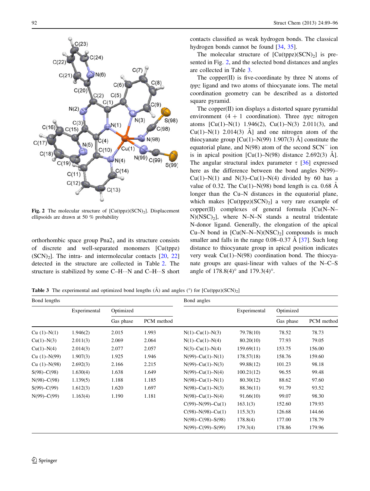<span id="page-4-0"></span>

Fig. 2 The molecular structure of  $\left[\text{Cu(tppz)(SCN)}\right]$ . Displacement ellipsoids are drawn at 50 % probability

orthorhombic space group  $Pna2<sub>1</sub>$  and its structure consists of discrete and well-separated monomers [Cu(tppz)  $(SCN)_2$ . The intra- and intermolecular contacts [\[20](#page-7-0), [22\]](#page-7-0) detected in the structure are collected in Table [2.](#page-3-0) The structure is stabilized by some  $C-H\cdots N$  and  $C-H\cdots S$  short

contacts classified as weak hydrogen bonds. The classical hydrogen bonds cannot be found [\[34](#page-8-0), [35\]](#page-8-0).

The molecular structure of  $\left[ Cu(tppz)(SCN)_2 \right]$  is presented in Fig. 2, and the selected bond distances and angles are collected in Table 3.

The copper $(II)$  is five-coordinate by three N atoms of tppz ligand and two atoms of thiocyanate ions. The metal coordination geometry can be described as a distorted square pyramid.

The copper(II) ion displays a distorted square pyramidal environment  $(4 + 1$  coordination). Three *tppz* nitrogen atoms  $\lbrack Cu(1)-N(1) \, 1.946(2), Cu(1)-N(3) \, 2.011(3), \,$  and Cu(1)–N(1) 2.014(3)  $\AA$ ] and one nitrogen atom of the thiocyanate group  $\lbrack Cu(1)-N(99) 1.907(3) \text{ Å} \rbrack$  constitute the equatorial plane, and  $N(98)$  atom of the second  $SCN^{-}$  ion is in apical position  $\lceil Cu(1) - N(98) \rceil$  distance 2.692(3)  $\rm \AA$ ]. The angular structural index parameter  $\tau$  [[36\]](#page-8-0) expressed here as the difference between the bond angles N(99)– Cu(1)–N(1) and N(3)–Cu(1)–N(4) divided by 60 has a value of 0.32. The Cu(1)–N(98) bond length is ca. 0.68  $\AA$ longer than the Cu–N distances in the equatorial plane, which makes  $\left[\text{Cu(tppz)}(\text{SCN})_2\right]$  a very rare example of copper(II) complexes of general formula [Cu(N–N–  $N(NSC)_2$ ], where N–N–N stands a neutral tridentate N-donor ligand. Generally, the elongation of the apical Cu–N bond in  $[Cu(N-N-N)(NSC)<sub>2</sub>]$  compounds is much smaller and falls in the range  $0.08-0.37 \text{ Å}$  [[37\]](#page-8-0). Such long distance to thiocyanate group in apical position indicates very weak Cu(1)–N(98) coordination bond. The thiocyanate groups are quasi-linear with values of the N–C–S angle of  $178.8(4)^\circ$  and  $179.3(4)^\circ$ .

**Table 3** The experimental and optimized bond lengths  $(\hat{A})$  and angles (°) for  $\text{[Cu(tppz)(SCN)}_2\text{]}$ 

| Bond lengths     |              |           | Bond angles |                         |              |           |            |
|------------------|--------------|-----------|-------------|-------------------------|--------------|-----------|------------|
|                  | Experimental | Optimized |             |                         | Experimental | Optimized |            |
|                  |              | Gas phase | PCM method  |                         |              | Gas phase | PCM method |
| $Cu (1) - N(1)$  | 1.946(2)     | 2.015     | 1.993       | $N(1)$ –Cu(1)– $N(3)$   | 79.78(10)    | 78.52     | 78.73      |
| $Cu(1)-N(3)$     | 2.011(3)     | 2.069     | 2.064       | $N(1)$ –Cu(1)– $N(4)$   | 80.20(10)    | 77.93     | 79.05      |
| $Cu(1)-N(4)$     | 2.014(3)     | 2.077     | 2.057       | $N(3)-Cu(1)-N(4)$       | 159.69(11)   | 153.75    | 156.00     |
| $Cu (1) - N(99)$ | 1.907(3)     | 1.925     | 1.946       | $N(99) - Cu(1) - N(1)$  | 178.57(18)   | 158.76    | 159.60     |
| $Cu (1) - N(98)$ | 2.692(3)     | 2.166     | 2.215       | $N(99) - Cu(1) - N(3)$  | 99.88(12)    | 101.23    | 98.18      |
| $S(98) - C(98)$  | 1.630(4)     | 1.638     | 1.649       | $N(99) - Cu(1) - N(4)$  | 100.21(12)   | 96.55     | 99.48      |
| $N(98) - C(98)$  | 1.139(5)     | 1.188     | 1.185       | $N(98) - Cu(1) - N(1)$  | 80.30(12)    | 88.62     | 97.60      |
| $S(99) - C(99)$  | 1.612(3)     | 1.620     | 1.697       | $N(98) - Cu(1) - N(3)$  | 88.36(11)    | 91.79     | 93.52      |
| $N(99) - C(99)$  | 1.163(4)     | 1.190     | 1.181       | $N(98) - Cu(1) - N(4)$  | 91.66(10)    | 99.07     | 98.30      |
|                  |              |           |             | $C(99) - N(99) - Cu(1)$ | 163.1(3)     | 152.60    | 179.93     |
|                  |              |           |             | $C(98) - N(98) - Cu(1)$ | 115.3(3)     | 126.68    | 144.66     |
|                  |              |           |             | $N(98) - C(98) - S(98)$ | 178.8(4)     | 177.00    | 178.79     |
|                  |              |           |             | $N(99) - C(99) - S(99)$ | 179.3(4)     | 178.86    | 179.96     |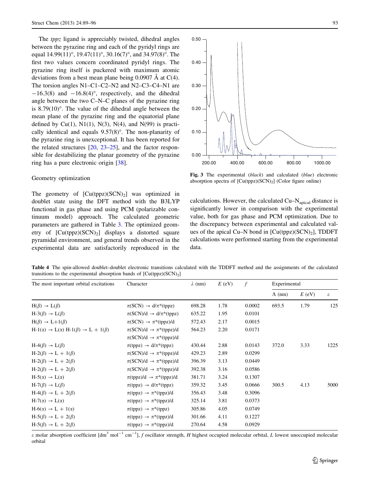<span id="page-5-0"></span>The *tppz* ligand is appreciably twisted, dihedral angles between the pyrazine ring and each of the pyridyl rings are equal  $14.99(11)$ °,  $19.47(11)$ °,  $30.16(7)$ °, and  $34.97(8)$ °. The first two values concern coordinated pyridyl rings. The pyrazine ring itself is puckered with maximum atomic deviations from a best mean plane being  $0.0907 \text{ Å}$  at C(4). The torsion angles N1–C1–C2–N2 and N2–C3–C4–N1 are  $-16.3(8)$  and  $-16.8(4)$ °, respectively, and the dihedral angle between the two C–N–C planes of the pyrazine ring is  $8.79(10)^\circ$ . The value of the dihedral angle between the mean plane of the pyrazine ring and the equatorial plane defined by  $Cu(1)$ ,  $N(1)$ ,  $N(3)$ ,  $N(4)$ , and  $N(99)$  is practically identical and equals  $9.57(8)^\circ$ . The non-planarity of the pyrazine ring is unexceptional. It has been reported for the related structures [\[20](#page-7-0), [23–](#page-7-0)[25\]](#page-8-0), and the factor responsible for destabilizing the planar geometry of the pyrazine ring has a pure electronic origin [\[38](#page-8-0)].

#### Geometry optimization

The geometry of  $[Cu(tppz)(SCN)_2]$  was optimized in doublet state using the DFT method with the B3LYP functional in gas phase and using PCM (polarizable continuum model) approach. The calculated geometric parameters are gathered in Table [3.](#page-4-0) The optimized geometry of  $[Cu(tppz)(SCN)<sub>2</sub>]$  displays a distorted square pyramidal environment, and general trends observed in the experimental data are satisfactorily reproduced in the



Fig. 3 The experimental (black) and calculated (blue) electronic absorption spectra of  $[Cu(tppz)(SCN)_2]$  (Color figure online)

calculations. However, the calculated  $Cu-N<sub>apical</sub>$  distance is significantly lower in comparison with the experimental value, both for gas phase and PCM optimization. Due to the discrepancy between experimental and calculated values of the apical Cu–N bond in  $[Cu(tppz)(SCN)<sub>2</sub>]$ , TDDFT calculations were performed starting from the experimental data.

Table 4 The spin-allowed doublet–doublet electronic transitions calculated with the TDDFT method and the assignments of the calculated transitions to the experimental absorption bands of  $[Cu(tppz)(SCN)<sub>2</sub>]$ 

| The most important orbital excitations                                  | Character                                               | $\lambda$ (nm) | $E$ (eV) | f      | Experimental   |          |                            |
|-------------------------------------------------------------------------|---------------------------------------------------------|----------------|----------|--------|----------------|----------|----------------------------|
|                                                                         |                                                         |                |          |        | $\Lambda$ (nm) | $E$ (eV) | $\boldsymbol{\varepsilon}$ |
| $H(\beta) \rightarrow L(\beta)$                                         | $\pi(SCN) \rightarrow d/\pi^*(tppz)$                    | 698.28         | 1.78     | 0.0002 | 693.5          | 1.79     | 125                        |
| $H-3(\beta) \rightarrow L(\beta)$                                       | $\pi(SCN)/d \rightarrow d/\pi^*(tppz)$                  | 635.22         | 1.95     | 0.0101 |                |          |                            |
| $H(\beta) \rightarrow L+1(\beta)$                                       | $\pi(SCN) \rightarrow \pi^*(tppz)/d$                    | 572.43         | 2.17     | 0.0015 |                |          |                            |
| $H-1(\alpha) \rightarrow L(\alpha) H-1(\beta) \rightarrow L + 1(\beta)$ | $\pi(SCN)/d \rightarrow \pi^*(tppz)/d$                  | 564.23         | 2.20     | 0.0171 |                |          |                            |
|                                                                         | $\pi(SCN)/d \rightarrow \pi^*(tppz)/d$                  |                |          |        |                |          |                            |
| $H-4(\beta) \rightarrow L(\beta)$                                       | $\pi$ (tppz) $\rightarrow$ d/ $\pi$ <sup>*</sup> (tppz) | 430.44         | 2.88     | 0.0143 | 372.0          | 3.33     | 1225                       |
| $H-2(\beta) \rightarrow L + 1(\beta)$                                   | $\pi(SCN)/d \rightarrow \pi^*(tppz)/d$                  | 429.23         | 2.89     | 0.0299 |                |          |                            |
| $H-2(\beta) \rightarrow L + 2(\beta)$                                   | $\pi(SCN)/d \rightarrow \pi^*(tppz)/d$                  | 396.39         | 3.13     | 0.0449 |                |          |                            |
| $H-2(\beta) \rightarrow L + 2(\beta)$                                   | $\pi(SCN)/d \rightarrow \pi^*(tppz)/d$                  | 392.38         | 3.16     | 0.0586 |                |          |                            |
| $H-5(\alpha) \rightarrow L(\alpha)$                                     | $\pi(\text{tppz})/d \rightarrow \pi^*(\text{tppz})/d$   | 381.71         | 3.24     | 0.1307 |                |          |                            |
| $H-7(\beta) \rightarrow L(\beta)$                                       | $\pi$ (tppz) $\rightarrow$ d/ $\pi$ <sup>*</sup> (tppz) | 359.32         | 3.45     | 0.0666 | 300.5          | 4.13     | 5000                       |
| $H-4(\beta) \rightarrow L + 2(\beta)$                                   | $\pi$ (tppz) $\rightarrow \pi^*$ (tppz)/d               | 356.43         | 3.48     | 0.3096 |                |          |                            |
| $H-7(\alpha) \rightarrow L(\alpha)$                                     | $\pi$ (tppz) $\rightarrow \pi^*$ (tppz)/d               | 325.14         | 3.81     | 0.0373 |                |          |                            |
| $H-6(\alpha) \rightarrow L + 1(\alpha)$                                 | $\pi$ (tppz) $\rightarrow \pi^*$ (tppz)                 | 305.86         | 4.05     | 0.0749 |                |          |                            |
| $H-5(\beta) \rightarrow L + 2(\beta)$                                   | $\pi$ (tppz) $\rightarrow \pi^*$ (tppz)/d               | 301.66         | 4.11     | 0.1227 |                |          |                            |
| $H-5(\beta) \rightarrow L + 2(\beta)$                                   | $\pi$ (tppz) $\rightarrow \pi^*$ (tppz)/d               | 270.64         | 4.58     | 0.0929 |                |          |                            |

 $\varepsilon$  molar absorption coefficient  $\text{[dm}^3 \text{ mol}^{-1} \text{ cm}^{-1}$ ], f oscillator strength, H highest occupied molecular orbital, L lowest unoccupied molecular orbital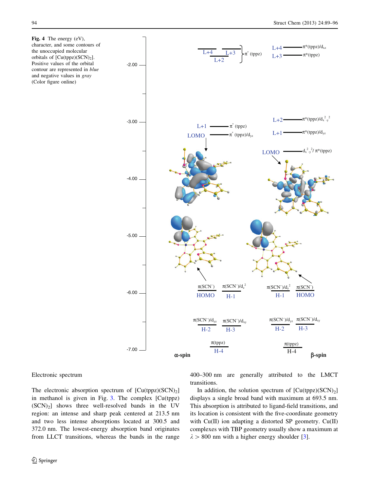<span id="page-6-0"></span>Fig. 4 The energy (eV), character, and some contours of the unoccupied molecular orbitals of  $[Cu(tppz)(SCN)<sub>2</sub>]$ . Positive values of the orbital contour are represented in blue and negative values in gray (Color figure online)



#### Electronic spectrum

The electronic absorption spectrum of  $[Cu(tppz)(SCN)_2]$ in methanol is given in Fig. [3](#page-5-0). The complex [Cu(tppz)  $(SCN)_2$ ] shows three well-resolved bands in the UV region: an intense and sharp peak centered at 213.5 nm and two less intense absorptions located at 300.5 and 372.0 nm. The lowest-energy absorption band originates from LLCT transitions, whereas the bands in the range 400–300 nm are generally attributed to the LMCT transitions.

In addition, the solution spectrum of  $[Cu(tppz)(SCN)<sub>2</sub>]$ displays a single broad band with maximum at 693.5 nm. This absorption is attributed to ligand-field transitions, and its location is consistent with the five-coordinate geometry with Cu(II) ion adapting a distorted SP geometry. Cu(II) complexes with TBP geometry usually show a maximum at  $\lambda > 800$  nm with a higher energy shoulder [\[3](#page-7-0)].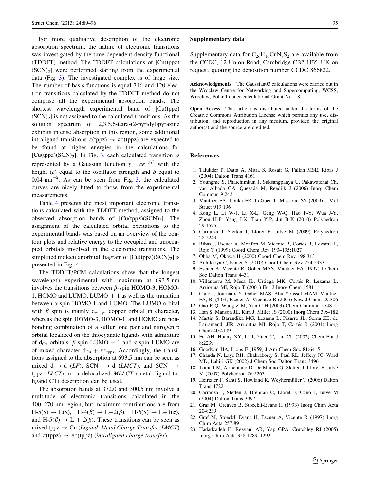<span id="page-7-0"></span>For more qualitative description of the electronic absorption spectrum, the nature of electronic transitions was investigated by the time-dependent density functional (TDDFT) method. The TDDFT calculations of [Cu(tppz)  $(SCN<sub>2</sub>)$  were performed starting from the experimental data (Fig. [3\)](#page-5-0). The investigated complex is of large size. The number of basis functions is equal 746 and 120 electron transitions calculated by the TDDFT method do not comprise all the experimental absorption bands. The shortest wavelength experimental band of [Cu(tppz)  $(SCN<sub>2</sub>]$  is not assigned to the calculated transitions. As the solution spectrum of 2,3,5,6-tetra-(2-pyridyl)pyrazine exhibits intense absorption in this region, some additional intraligand transitions  $\pi$ (tppz)  $\rightarrow \pi^*$ (tppz) are expected to be found at higher energies in the calculations for  $[Cu(tppz)(SCN)<sub>2</sub>$ ]. In Fig. [3](#page-5-0), each calculated transition is represented by a Gaussian function  $y = ce^{-bx^2}$  with the height  $(c)$  equal to the oscillator strength and b equal to  $0.04$  nm<sup>-2</sup>. As can be seen from Fig. [3](#page-5-0), the calculated curves are nicely fitted to those from the experimental measurements.

Table [4](#page-5-0) presents the most important electronic transitions calculated with the TDDFT method, assigned to the observed absorption bands of  $[Cu(tppz)(SCN)<sub>2</sub>]$ . The assignment of the calculated orbital excitations to the experimental bands was based on an overview of the contour plots and relative energy to the occupied and unoccupied orbitals involved in the electronic transitions. The simplified molecular orbital diagram of  $[Cu(tppz)(SCN)_2]$  is presented in Fig. [4](#page-6-0).

The TDDFT/PCM calculations show that the longest wavelength experimental with maximum at 693.5 nm involves the transitions between  $\beta$ -spin HOMO-3, HOMO-1, HOMO and LUMO, LUMO  $+$  1 as well as the transition between a-spin HOMO-1 and LUMO. The LUMO orbital with  $\beta$  spin is mainly  $d_{x^2-y^2}$  copper orbital in character, whereas the spin HOMO-3, HOMO-1, and HOMO are nonbonding combination of a sulfur lone pair and nitrogen p orbital localized on the thiocyanate ligands with admixture of d<sub>Cu</sub> orbitals.  $\beta$ -spin LUMO + 1 and  $\alpha$ -spin LUMO are of mixed character  $d_{Cu} + \pi^*_{tppz}$ . Accordingly, the transitions assigned to the absorption at 693.5 nm can be seen as mixed  $d \rightarrow d$  (*LF*), SCN<sup>-</sup>  $\rightarrow$  d (*LMCT*), and SCN<sup>-</sup>  $\rightarrow$ tppz (LLCT), or a delocalized MLLCT (metal–ligand-toligand CT) description can be used.

The absorption bands at 372.0 and 300.5 nm involve a multitude of electronic transitions calculated in the 400–270 nm region, but maximum contributions are from  $H-5(\alpha) \rightarrow L(\alpha)$ ,  $H-4(\beta) \rightarrow L+2(\beta)$ ,  $H-6(\alpha) \rightarrow L+1(\alpha)$ , and H-5( $\beta$ )  $\rightarrow$  L + 2( $\beta$ ). These transitions can be seen as mixed tppz  $\rightarrow$  Cu (Ligand–Metal Charge Transfer; LMCT) and  $\pi$ (tppz)  $\rightarrow \pi^*$ (tppz) (intraligand charge transfer).

#### Supplementary data

Supplementary data for  $C_{26}H_{16}CuN_8S_2$  are available from the CCDC, 12 Union Road, Cambridge CB2 1EZ, UK on request, quoting the deposition number CCDC 866822.

Acknowledgments The Gaussian03 calculations were carried out in the Wrocław Centre for Networking and Supercomputing, WCSS, Wrocław, Poland under calculational Grant No. 18.

Open Access This article is distributed under the terms of the Creative Commons Attribution License which permits any use, distribution, and reproduction in any medium, provided the original author(s) and the source are credited.

# References

- 1. Talukder P, Datta A, Mitra S, Rosair G, Fallah MSE, Ribas J (2004) Dalton Trans 4161
- 2. Youngme S, Phatchimkun J, Suksangpanya U, Pakawatchai Ch, van Albada GA, Quesada M, Reedijk J (2006) Inorg Chem Commun 9:242
- 3. Mautner FA, Louka FR, LeGuet T, Massoud SS (2009) J Mol Struct 919:196
- 4. Kong L, Li W-J, Li X-L, Geng W-Q, Hao F-Y, Wua J-Y, Zhou H-P, Yang J-X, Tian Y-P, Jin B-K (2010) Polyhedron 29:1575
- 5. Carranza J, Sletten J, Lloret F, Julve M (2009) Polyhedron 28:2249
- 6. Ribas J, Escuer A, Monfort M, Vicente R, Cortes R, Lezama L, Rojo T (1999) Coord Chem Rev 193–195:1027
- 7. Ohba M, Okawa H (2000) Coord Chem Rev 198:313
- 8. Adhikarya C, Koner S (2010) Coord Chem Rev 254:2933
- 9. Escuer A, Vicente R, Goher MAS, Mautner FA (1997) J Chem Soc Dalton Trans 4431
- 10. Villanueva M, Mesa JL, Urtiaga MK, Cortés R, Lezama L, Arriortua MI, Rojo T (2001) Eur J Inorg Chem 1581
- 11. Cano J, Journaux Y, Goher MAS, Abu-Youssef MAM, Mautner FA, Rei $\beta$  GJ, Escuer A, Vicentee R (2005) New J Chem 29:306
- 12. Gao E-Q, Wang Z-M, Yan C-H (2003) Chem Commun 1748
- 13. Han S, Manson JL, Kim J, Miller JS (2000) Inorg Chem 39:4182
- 14. Martin S, Barandika MG, Lezama L, Pizarro JL, Serna ZE, de Larramendi JIR, Arriortua MI, Rojo T, Cortés R (2001) Inorg Chem 40:4109
- 15. Fu AH, Huang XY, Li J, Yuen T, Lin CL (2002) Chem Eur J 8:2239
- 16. Goodwin HA, Lions F (1959) J Am Chem Soc 81:6415
- 17. Chanda N, Laye RH, Chakraborty S, Paul RL, Jeffery JC, Ward MD, Lahiri GK (2002) J Chem Soc Dalton Trans 3496
- 18. Toma LM, Armentano D, De Munno G, Sletten J, Lloret F, Julve M (2007) Polyhedron 26:5263
- 19. Heirtzler F, Santi S, Howland K, Weyhermüller T (2006) Dalton Trans 4722
- 20. Carranza J, Sletten J, Brennan C, Lloret F, Cano J, Julve M (2004) Dalton Trans 3997
- 21. Graf M, Greaves B, Stoeckli-Evans H (1993) Inorg Chim Acta 204:239
- 22. Graf M, Stoeckli-Evans H, Escuer A, Vicente R (1997) Inorg Chim Acta 257:89
- 23. Hadadzadeh H, Rezvani AR, Yap GPA, Crutchley RJ (2005) Inorg Chim Acta 358:1289–1292